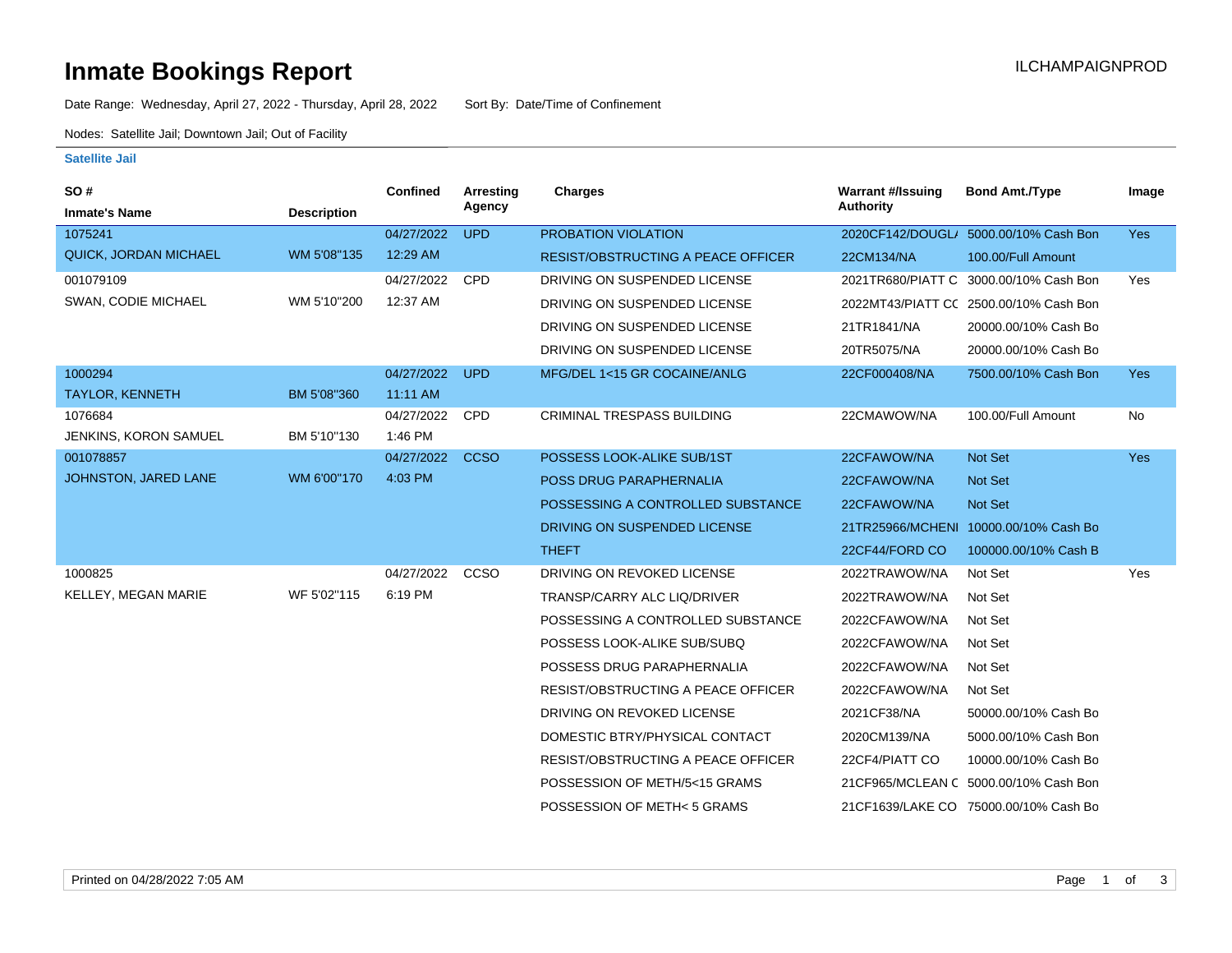### **Inmate Bookings Report International Contract Contract Contract Contract Contract Contract Contract Contract Contract Contract Contract Contract Contract Contract Contract Contract Contract Contract Contract Contract Co**

Date Range: Wednesday, April 27, 2022 - Thursday, April 28, 2022 Sort By: Date/Time of Confinement

Nodes: Satellite Jail; Downtown Jail; Out of Facility

#### **Satellite Jail**

| <b>SO#</b>             |                    | <b>Confined</b> | Arresting   | <b>Charges</b>                            | <b>Warrant #/Issuing</b> | <b>Bond Amt./Type</b>                  | Image      |
|------------------------|--------------------|-----------------|-------------|-------------------------------------------|--------------------------|----------------------------------------|------------|
| <b>Inmate's Name</b>   | <b>Description</b> |                 | Agency      |                                           | <b>Authority</b>         |                                        |            |
| 1075241                |                    | 04/27/2022      | <b>UPD</b>  | PROBATION VIOLATION                       |                          | 2020CF142/DOUGL/ 5000.00/10% Cash Bon  | Yes        |
| QUICK, JORDAN MICHAEL  | WM 5'08"135        | 12:29 AM        |             | <b>RESIST/OBSTRUCTING A PEACE OFFICER</b> | 22CM134/NA               | 100.00/Full Amount                     |            |
| 001079109              |                    | 04/27/2022      | <b>CPD</b>  | DRIVING ON SUSPENDED LICENSE              | 2021TR680/PIATT C        | 3000.00/10% Cash Bon                   | Yes        |
| SWAN, CODIE MICHAEL    | WM 5'10"200        | 12:37 AM        |             | DRIVING ON SUSPENDED LICENSE              |                          | 2022MT43/PIATT CC 2500.00/10% Cash Bon |            |
|                        |                    |                 |             | DRIVING ON SUSPENDED LICENSE              | 21TR1841/NA              | 20000.00/10% Cash Bo                   |            |
|                        |                    |                 |             | DRIVING ON SUSPENDED LICENSE              | 20TR5075/NA              | 20000.00/10% Cash Bo                   |            |
| 1000294                |                    | 04/27/2022      | <b>UPD</b>  | MFG/DEL 1<15 GR COCAINE/ANLG              | 22CF000408/NA            | 7500.00/10% Cash Bon                   | <b>Yes</b> |
| <b>TAYLOR, KENNETH</b> | BM 5'08"360        | 11:11 AM        |             |                                           |                          |                                        |            |
| 1076684                |                    | 04/27/2022      | <b>CPD</b>  | CRIMINAL TRESPASS BUILDING                | 22CMAWOW/NA              | 100.00/Full Amount                     | No         |
| JENKINS, KORON SAMUEL  | BM 5'10"130        | 1:46 PM         |             |                                           |                          |                                        |            |
| 001078857              |                    | 04/27/2022      | <b>CCSO</b> | POSSESS LOOK-ALIKE SUB/1ST                | 22CFAWOW/NA              | <b>Not Set</b>                         | Yes        |
| JOHNSTON, JARED LANE   | WM 6'00"170        | 4:03 PM         |             | POSS DRUG PARAPHERNALIA                   | 22CFAWOW/NA              | <b>Not Set</b>                         |            |
|                        |                    |                 |             | POSSESSING A CONTROLLED SUBSTANCE         | 22CFAWOW/NA              | <b>Not Set</b>                         |            |
|                        |                    |                 |             | DRIVING ON SUSPENDED LICENSE              |                          | 21TR25966/MCHENI 10000.00/10% Cash Bo  |            |
|                        |                    |                 |             | <b>THEFT</b>                              | 22CF44/FORD CO           | 100000.00/10% Cash B                   |            |
| 1000825                |                    | 04/27/2022      | CCSO        | DRIVING ON REVOKED LICENSE                | 2022TRAWOW/NA            | Not Set                                | Yes        |
| KELLEY, MEGAN MARIE    | WF 5'02"115        | 6:19 PM         |             | TRANSP/CARRY ALC LIQ/DRIVER               | 2022TRAWOW/NA            | Not Set                                |            |
|                        |                    |                 |             | POSSESSING A CONTROLLED SUBSTANCE         | 2022CFAWOW/NA            | Not Set                                |            |
|                        |                    |                 |             | POSSESS LOOK-ALIKE SUB/SUBQ               | 2022CFAWOW/NA            | Not Set                                |            |
|                        |                    |                 |             | POSSESS DRUG PARAPHERNALIA                | 2022CFAWOW/NA            | Not Set                                |            |
|                        |                    |                 |             | RESIST/OBSTRUCTING A PEACE OFFICER        | 2022CFAWOW/NA            | Not Set                                |            |
|                        |                    |                 |             | DRIVING ON REVOKED LICENSE                | 2021CF38/NA              | 50000.00/10% Cash Bo                   |            |
|                        |                    |                 |             | DOMESTIC BTRY/PHYSICAL CONTACT            | 2020CM139/NA             | 5000.00/10% Cash Bon                   |            |
|                        |                    |                 |             | RESIST/OBSTRUCTING A PEACE OFFICER        | 22CF4/PIATT CO           | 10000.00/10% Cash Bo                   |            |
|                        |                    |                 |             | POSSESSION OF METH/5<15 GRAMS             |                          | 21CF965/MCLEAN C 5000.00/10% Cash Bon  |            |
|                        |                    |                 |             | POSSESSION OF METH< 5 GRAMS               |                          | 21CF1639/LAKE CO 75000.00/10% Cash Bo  |            |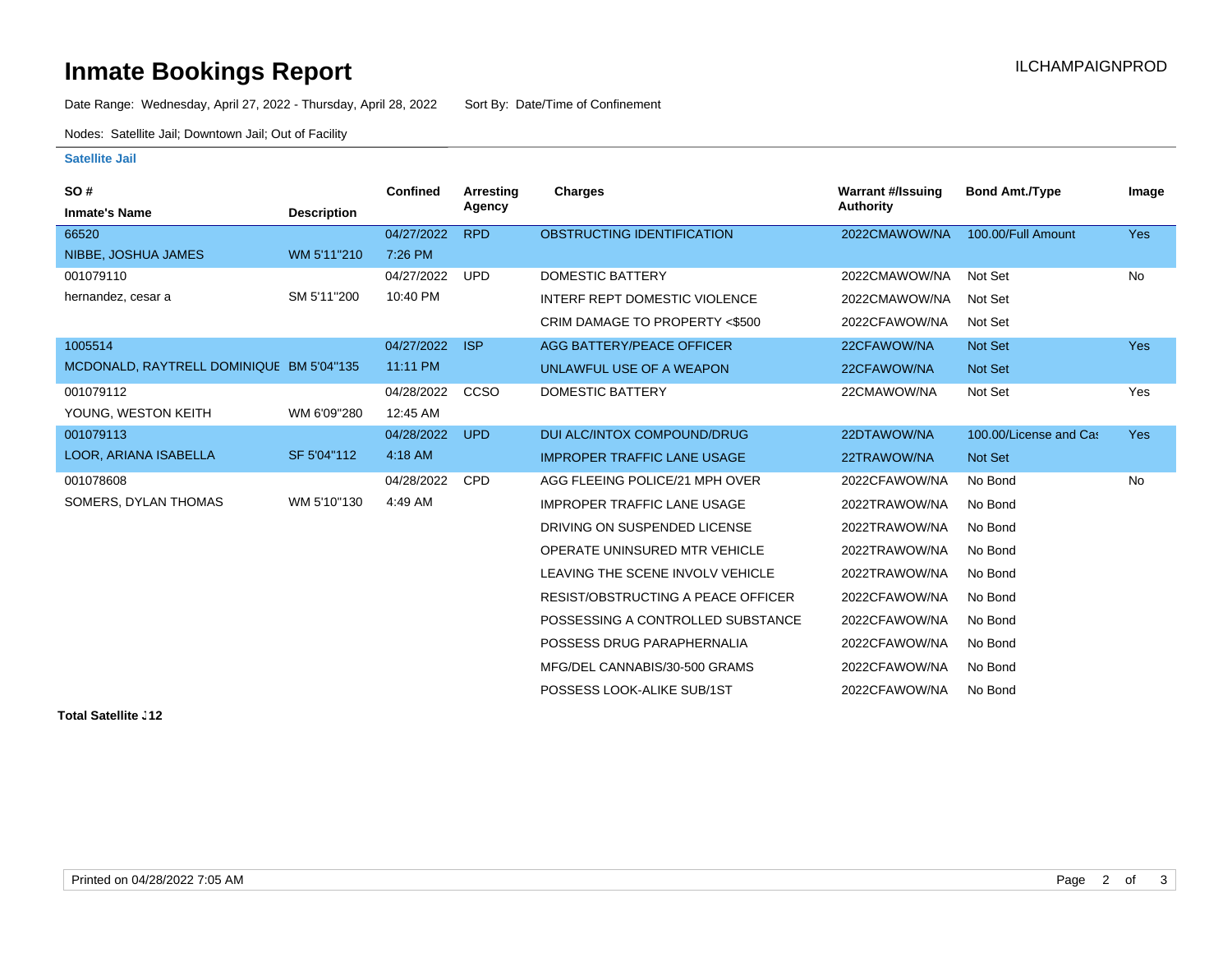# **Inmate Bookings Report Installation Control Control Control Control Control Control Control Control Control Control Control Control Control Control Control Control Control Control Control Control Control Control Control**

Date Range: Wednesday, April 27, 2022 - Thursday, April 28, 2022 Sort By: Date/Time of Confinement

Nodes: Satellite Jail; Downtown Jail; Out of Facility

#### **Satellite Jail**

| SO#                                      |                    | <b>Confined</b> | <b>Arresting</b> | Charges                            | <b>Warrant #/Issuing</b> | <b>Bond Amt./Type</b>  | Image      |
|------------------------------------------|--------------------|-----------------|------------------|------------------------------------|--------------------------|------------------------|------------|
| <b>Inmate's Name</b>                     | <b>Description</b> |                 | Agency           |                                    | <b>Authority</b>         |                        |            |
| 66520                                    |                    | 04/27/2022      | <b>RPD</b>       | OBSTRUCTING IDENTIFICATION         | 2022CMAWOW/NA            | 100.00/Full Amount     | <b>Yes</b> |
| NIBBE, JOSHUA JAMES                      | WM 5'11"210        | 7:26 PM         |                  |                                    |                          |                        |            |
| 001079110                                |                    | 04/27/2022      | <b>UPD</b>       | <b>DOMESTIC BATTERY</b>            | 2022CMAWOW/NA            | Not Set                | No         |
| hernandez, cesar a                       | SM 5'11"200        | 10:40 PM        |                  | INTERF REPT DOMESTIC VIOLENCE      | 2022CMAWOW/NA            | Not Set                |            |
|                                          |                    |                 |                  | CRIM DAMAGE TO PROPERTY <\$500     | 2022CFAWOW/NA            | Not Set                |            |
| 1005514                                  |                    | 04/27/2022      | <b>ISP</b>       | <b>AGG BATTERY/PEACE OFFICER</b>   | 22CFAWOW/NA              | <b>Not Set</b>         | <b>Yes</b> |
| MCDONALD, RAYTRELL DOMINIQUE BM 5'04"135 |                    | 11:11 PM        |                  | UNLAWFUL USE OF A WEAPON           | 22CFAWOW/NA              | <b>Not Set</b>         |            |
| 001079112                                |                    | 04/28/2022      | CCSO             | <b>DOMESTIC BATTERY</b>            | 22CMAWOW/NA              | Not Set                | Yes        |
| YOUNG, WESTON KEITH                      | WM 6'09"280        | 12:45 AM        |                  |                                    |                          |                        |            |
| 001079113                                |                    | 04/28/2022      | <b>UPD</b>       | DUI ALC/INTOX COMPOUND/DRUG        | 22DTAWOW/NA              | 100.00/License and Cas | Yes        |
| LOOR, ARIANA ISABELLA                    | SF 5'04"112        | 4:18 AM         |                  | <b>IMPROPER TRAFFIC LANE USAGE</b> | 22TRAWOW/NA              | Not Set                |            |
| 001078608                                |                    | 04/28/2022      | <b>CPD</b>       | AGG FLEEING POLICE/21 MPH OVER     | 2022CFAWOW/NA            | No Bond                | No         |
| SOMERS, DYLAN THOMAS                     | WM 5'10"130        | 4:49 AM         |                  | <b>IMPROPER TRAFFIC LANE USAGE</b> | 2022TRAWOW/NA            | No Bond                |            |
|                                          |                    |                 |                  | DRIVING ON SUSPENDED LICENSE       | 2022TRAWOW/NA            | No Bond                |            |
|                                          |                    |                 |                  | OPERATE UNINSURED MTR VEHICLE      | 2022TRAWOW/NA            | No Bond                |            |
|                                          |                    |                 |                  | LEAVING THE SCENE INVOLV VEHICLE   | 2022TRAWOW/NA            | No Bond                |            |
|                                          |                    |                 |                  | RESIST/OBSTRUCTING A PEACE OFFICER | 2022CFAWOW/NA            | No Bond                |            |
|                                          |                    |                 |                  | POSSESSING A CONTROLLED SUBSTANCE  | 2022CFAWOW/NA            | No Bond                |            |
|                                          |                    |                 |                  | POSSESS DRUG PARAPHERNALIA         | 2022CFAWOW/NA            | No Bond                |            |
|                                          |                    |                 |                  | MFG/DEL CANNABIS/30-500 GRAMS      | 2022CFAWOW/NA            | No Bond                |            |
|                                          |                    |                 |                  | POSSESS LOOK-ALIKE SUB/1ST         | 2022CFAWOW/NA            | No Bond                |            |

**Total Satellite . 12**